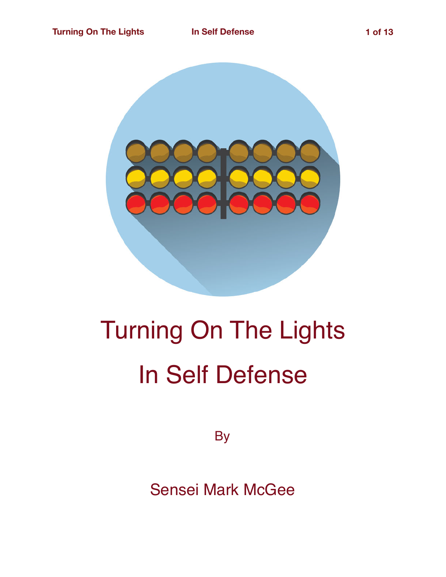

# Turning On The Lights In Self Defense

**By** 

Sensei Mark McGee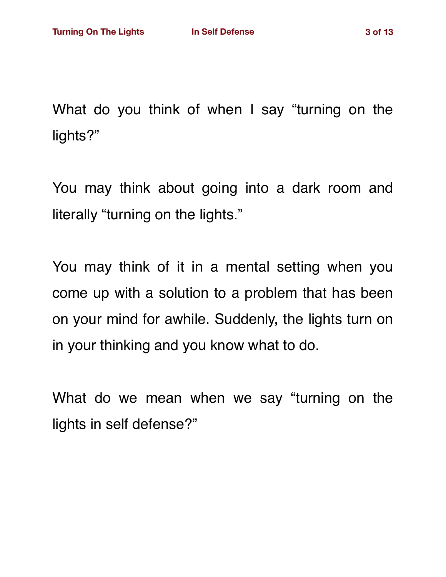What do you think of when I say "turning on the lights?"

You may think about going into a dark room and literally "turning on the lights."

You may think of it in a mental setting when you come up with a solution to a problem that has been on your mind for awhile. Suddenly, the lights turn on in your thinking and you know what to do.

What do we mean when we say "turning on the lights in self defense?"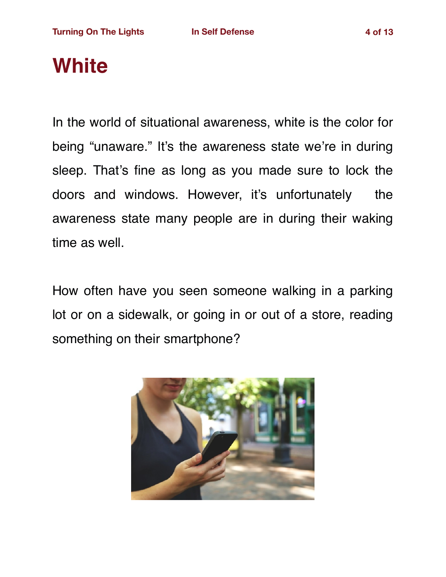## **White**

In the world of situational awareness, white is the color for being "unaware." It's the awareness state we're in during sleep. That's fine as long as you made sure to lock the doors and windows. However, it's unfortunately the awareness state many people are in during their waking time as well.

How often have you seen someone walking in a parking lot or on a sidewalk, or going in or out of a store, reading something on their smartphone?

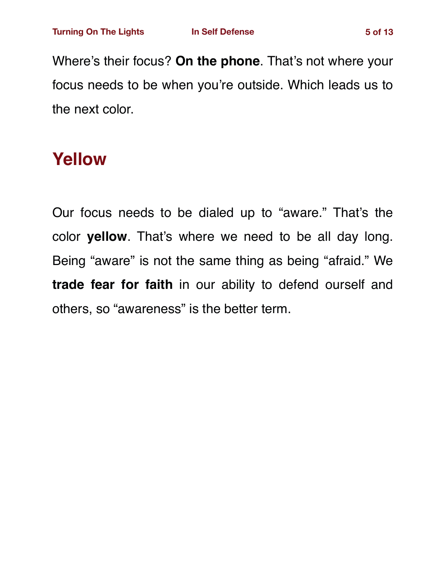Where's their focus? **On the phone**. That's not where your focus needs to be when you're outside. Which leads us to the next color.

### **Yellow**

Our focus needs to be dialed up to "aware." That's the color **yellow**. That's where we need to be all day long. Being "aware" is not the same thing as being "afraid." We **[trade fear for faith](https://gracemartialarts.com/2012/06/19/trade-fear-for-faith/)** in our ability to defend ourself and others, so "awareness" is the better term.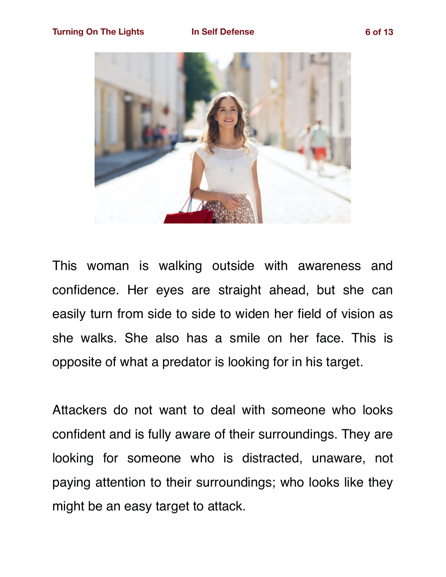

This woman is walking outside with awareness and confidence. Her eyes are straight ahead, but she can easily turn from side to side to widen her field of vision as she walks. She also has a smile on her face. This is opposite of what a predator is looking for in his target.

Attackers do not want to deal with someone who looks confident and is fully aware of their surroundings. They are looking for someone who is distracted, unaware, not paying attention to their surroundings; who looks like they might be an easy target to attack.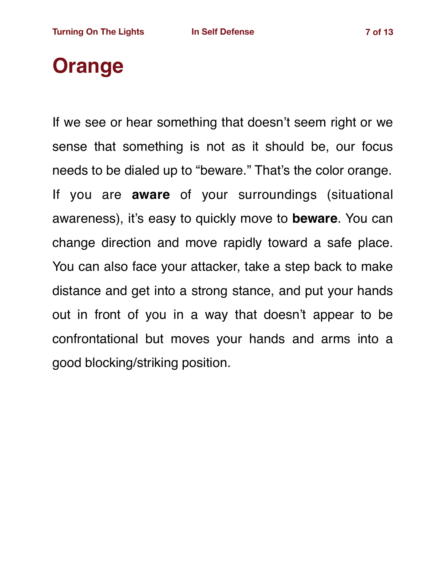# **Orange**

If we see or hear something that doesn't seem right or we sense that something is not as it should be, our focus needs to be dialed up to "beware." That's the color orange. If you are **aware** of your surroundings (situational awareness), it's easy to quickly move to **beware**. You can change direction and move rapidly toward a safe place. You can also face your attacker, take a step back to make distance and get into a strong stance, and put your hands out in front of you in a way that doesn't appear to be confrontational but moves your hands and arms into a good blocking/striking position.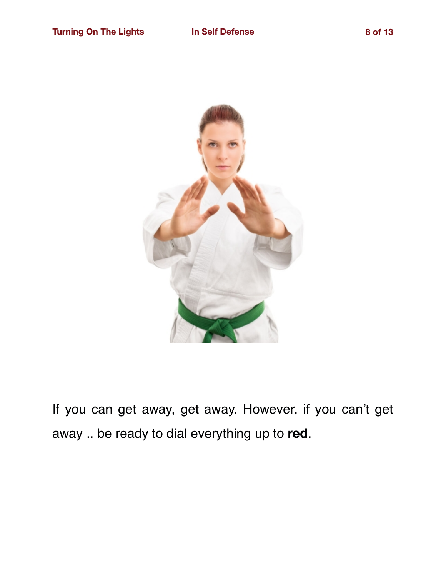

If you can get away, [get away.](https://gracemartialarts.com/2018/06/30/exit-strategy-whats-yours/) However, if you can't get away .. be ready to dial everything up to **red**.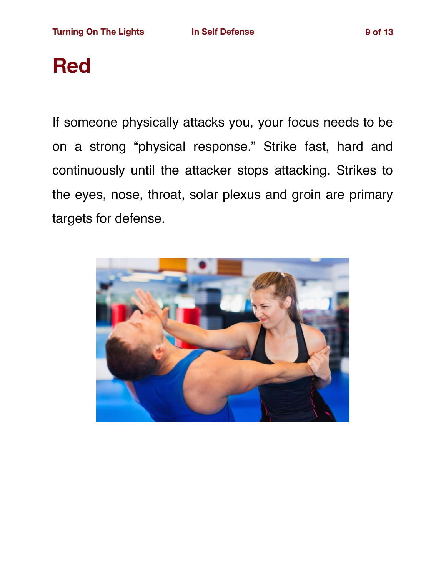# **Red**

If someone physically attacks you, your focus needs to be on a strong "physical response." Strike fast, hard and continuously until the attacker stops attacking. Strikes to the eyes, nose, throat, solar plexus and groin are primary targets for defense.

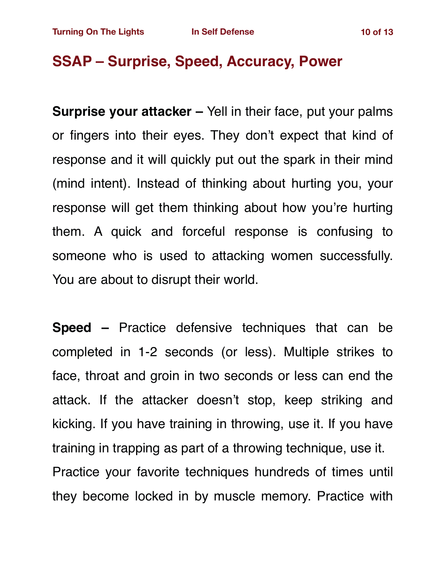### **SSAP – Surprise, Speed, Accuracy, Power**

**Surprise your attacker –** Yell in their face, put your palms or fingers into their eyes. They don't expect that kind of response and it will quickly [put out the spark](https://gracemartialarts.com/2018/05/19/s-p-s-surprise-put-out-steal/) in their mind (mind intent). Instead of thinking about hurting you, your response will get them thinking about how you're hurting them. A quick and forceful response is confusing to someone who is used to attacking women successfully. You are about to disrupt their world.

**Speed –** Practice defensive techniques that can be completed in [1-2 seconds](https://gracemartialarts.com/safe-in-seconds/) (or less). Multiple strikes to face, throat and groin in two seconds or less can end the attack. If the attacker doesn't stop, keep striking and kicking. If you have training in throwing, use it. If you have training in trapping as part of a throwing technique, use it. Practice your favorite techniques hundreds of times until they become locked in by muscle memory. Practice with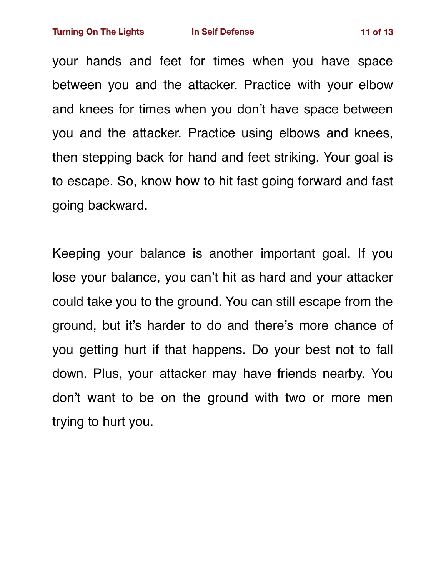**Turning On The Lights In Self Defense 11 of 13**

your hands and feet for times when you have space between you and the attacker. Practice with your elbow and knees for times when you don't have space between you and the attacker. Practice using elbows and knees, then stepping back for hand and feet striking. Your goal is to escape. So, know how to hit fast going forward and fast going backward.

Keeping your balance is another important goal. If you lose your balance, you can't hit as hard and your attacker could take you to the ground. You can still escape from the ground, but it's harder to do and there's more chance of you getting hurt if that happens. Do your best not to fall down. Plus, your attacker may have friends nearby. You don't want to be on the ground with two or more men trying to hurt you.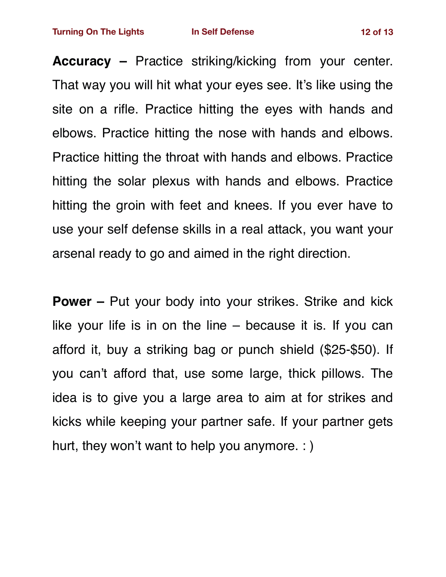**Accuracy –** Practice striking/kicking from your center. That way you will hit what your eyes see. It's like using the site on a rifle. Practice hitting the eyes with hands and elbows. Practice hitting the nose with hands and elbows. Practice hitting the throat with hands and elbows. Practice hitting the solar plexus with hands and elbows. Practice hitting the groin with feet and knees. If you ever have to use your self defense skills in a real attack, you want your arsenal ready to go and aimed in the right direction.

**Power –** Put your body into your strikes. Strike and kick like your life is in on the line – because it is. If you can afford it, buy a striking bag or punch shield (\$25-\$50). If you can't afford that, use some large, thick pillows. The idea is to give you a large area to aim at for strikes and kicks while keeping your partner safe. If your partner gets hurt, they won't want to help you anymore. : )